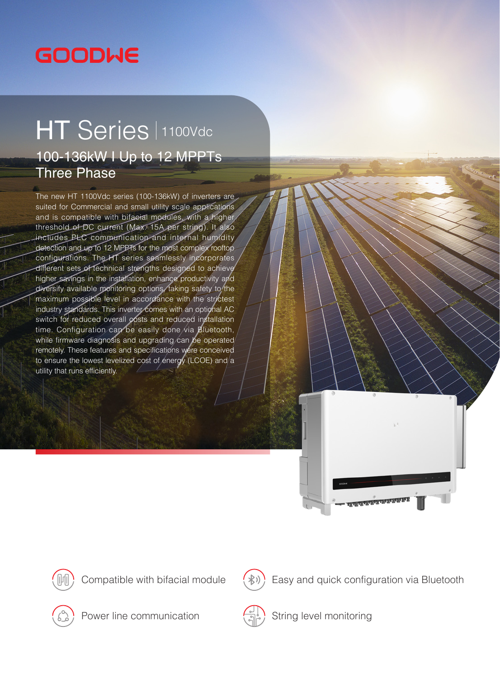## **GOODWE**

## HT Series 1100Vdc 100-136kW I Up to 12 MPPTs Three Phase

The new HT 1100Vdc series (100-136kW) of inverters are suited for Commercial and small utility scale applications and is compatible with bifacial modules, with a higher threshold of DC current (Max. 15A per string). It also includes PLC communication and internal humidity detection and up to 12 MPPTs for the most complex rooftop configurations. The HT series seamlessly incorporates different sets of technical strengths designed to achieve higher savings in the installation, enhance productivity and diversify available monitoring options, taking safety to the maximum possible level in accordance with the strictest industry standards. This inverter comes with an optional AC switch for reduced overall costs and reduced installation time. Configuration can be easily done via Bluetooth, while firmware diagnosis and upgrading can be operated remotely. These features and specifications were conceived to ensure the lowest levelized cost of energy (LCOE) and a utility that runs efficiently.





Compatible with bifacial module



Easy and quick configuration via Bluetooth



Power line communication



String level monitoring